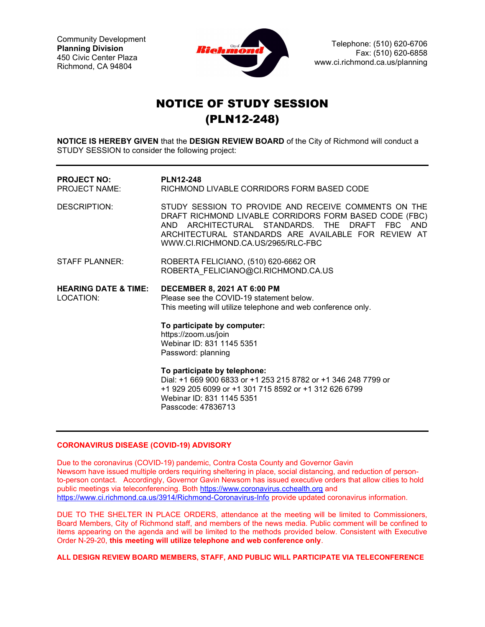Community Development Planning Division 450 Civic Center Plaza Richmond, CA 94804



Telephone: (510) 620-6706 Fax: (510) 620-6858 www.ci.richmond.ca.us/planning

# NOTICE OF STUDY SESSION (PLN12-248)

NOTICE IS HEREBY GIVEN that the DESIGN REVIEW BOARD of the City of Richmond will conduct a STUDY SESSION to consider the following project:

| <b>PROJECT NO:</b><br>PROJECT NAME:          | <b>PLN12-248</b><br>RICHMOND LIVABLE CORRIDORS FORM BASED CODE                                                                                                                                                                                                |
|----------------------------------------------|---------------------------------------------------------------------------------------------------------------------------------------------------------------------------------------------------------------------------------------------------------------|
| DESCRIPTION:                                 | STUDY SESSION TO PROVIDE AND RECEIVE COMMENTS ON THE<br>DRAFT RICHMOND LIVABLE CORRIDORS FORM BASED CODE (FBC)<br>AND ARCHITECTURAL STANDARDS. THE DRAFT FBC AND<br>ARCHITECTURAL STANDARDS ARE AVAILABLE FOR REVIEW AT<br>WWW.CI.RICHMOND.CA.US/2965/RLC-FBC |
| <b>STAFF PLANNER:</b>                        | ROBERTA FELICIANO, (510) 620-6662 OR<br>ROBERTA FELICIANO@CI.RICHMOND.CA.US                                                                                                                                                                                   |
| <b>HEARING DATE &amp; TIME:</b><br>LOCATION: | <b>DECEMBER 8, 2021 AT 6:00 PM</b><br>Please see the COVID-19 statement below.<br>This meeting will utilize telephone and web conference only.                                                                                                                |
|                                              | To participate by computer:<br>https://zoom.us/join<br>Webinar ID: 831 1145 5351<br>Password: planning                                                                                                                                                        |
|                                              | To participate by telephone:<br>Dial: +1 669 900 6833 or +1 253 215 8782 or +1 346 248 7799 or<br>+1 929 205 6099 or +1 301 715 8592 or +1 312 626 6799<br>Webinar ID: 831 1145 5351<br>Passcode: 47836713                                                    |

### CORONAVIRUS DISEASE (COVID-19) ADVISORY

Due to the coronavirus (COVID-19) pandemic, Contra Costa County and Governor Gavin Newsom have issued multiple orders requiring sheltering in place, social distancing, and reduction of personto-person contact. Accordingly, Governor Gavin Newsom has issued executive orders that allow cities to hold public meetings via teleconferencing. Both https://www.coronavirus.cchealth.org and https://www.ci.richmond.ca.us/3914/Richmond-Coronavirus-Info provide updated coronavirus information.

DUE TO THE SHELTER IN PLACE ORDERS, attendance at the meeting will be limited to Commissioners, Board Members, City of Richmond staff, and members of the news media. Public comment will be confined to items appearing on the agenda and will be limited to the methods provided below. Consistent with Executive Order N-29-20, this meeting will utilize telephone and web conference only.

ALL DESIGN REVIEW BOARD MEMBERS, STAFF, AND PUBLIC WILL PARTICIPATE VIA TELECONFERENCE